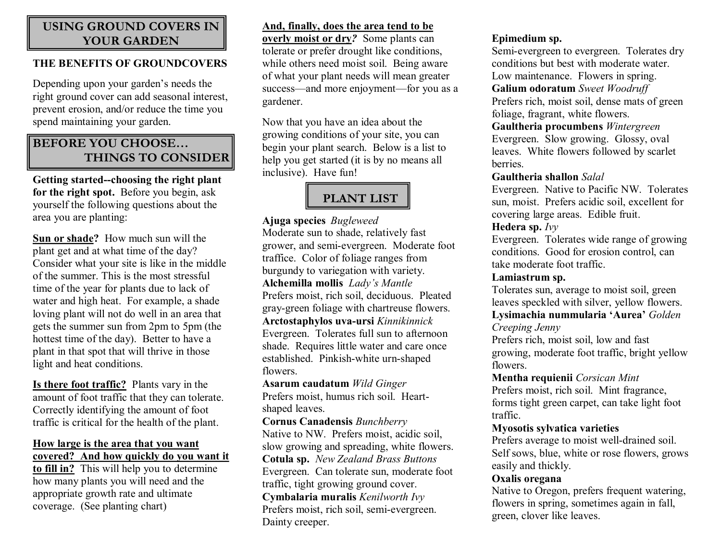# **USING GROUND COVERS IN YOUR GARDEN**

#### **THE BENEFITS OF GROUNDCOVERS**

Depending upon your garden's needs the right ground cover can add seasonal interest, prevent erosion, and/or reduce the time you spend maintaining your garden.

# **BEFORE YOU CHOOSE… THINGS TO CONSIDER**

**Getting started--choosing the right plant for the right spot.** Before you begin, ask yourself the following questions about the area you are planting:

**Sun or shade?** How much sun will the plant get and at what time of the day? Consider what your site is like in the middle of the summer. This is the most stressful time of the year for plants due to lack of water and high heat. For example, a shade loving plant will not do well in an area that gets the summer sun from 2pm to 5pm (the hottest time of the day). Better to have a plant in that spot that will thrive in those light and heat conditions.

**Is there foot traffic?** Plants vary in the amount of foot traffic that they can tolerate. Correctly identifying the amount of foot traffic is critical for the health of the plant.

# **How large is the area that you want covered? And how quickly do you want it**

**to fill in?** This will help you to determine how many plants you will need and the appropriate growth rate and ultimate coverage. (See planting chart)

# **And, finally, does the area tend to be**

**overly moist or dry***?* Some plants can tolerate or prefer drought like conditions, while others need moist soil. Being aware of what your plant needs will mean greater success—and more enjoyment—for you as a gardener.

Now that you have an idea about the growing conditions of your site, you can begin your plant search. Below is a list to help you get started (it is by no means all inclusive). Have fun!

# **PLANT LIST**

#### **Ajuga species** *Bugleweed*

Moderate sun to shade, relatively fast grower, and semievergreen. Moderate foot traffice. Color of foliage ranges from burgundy to variegation with variety. **Alchemilla mollis** *Lady's Mantle* Prefers moist, rich soil, deciduous. Pleated gray-green foliage with chartreuse flowers. **Arctostaphylos uva-ursi** *Kinnikinnick* Evergreen. Tolerates full sun to afternoon shade. Requires little water and care once established. Pinkish-white urn-shaped flowers.

#### **Asarum caudatum** *Wild Ginger* Prefers moist, humus rich soil. Heart shaped leaves.

**Cornus Canadensis** *Bunchberry* Native to NW. Prefers moist, acidic soil, slow growing and spreading, white flowers. **Cotula sp.** *New Zealand Brass Buttons* Evergreen. Can tolerate sun, moderate foot traffic, tight growing ground cover. **Cymbalaria muralis** *Kenilworth Ivy* Prefers moist, rich soil, semi-evergreen. Dainty creeper.

#### **Epimedium sp.**

Semi-evergreen to evergreen. Tolerates dry conditions but best with moderate water. Low maintenance. Flowers in spring. **Galium odoratum** *Sweet Woodruff*

Prefers rich, moist soil, dense mats of green foliage, fragrant, white flowers.

**Gaultheria procumbens** *Wintergreen* Evergreen. Slow growing. Glossy, oval leaves. White flowers followed by scarlet berries.

#### **Gaultheria shallon** *Salal*

Evergreen. Native to Pacific NW. Tolerates sun, moist. Prefers acidic soil, excellent for covering large areas. Edible fruit.

#### **Hedera sp.** *Ivy*

Evergreen. Tolerates wide range of growing conditions. Good for erosion control, can take moderate foot traffic.

#### **Lamiastrum sp.**

Tolerates sun, average to moist soil, green leaves speckled with silver, yellow flowers. **Lysimachia nummularia 'Aurea'** *Golden* 

# *Creeping Jenny*

Prefers rich, moist soil, low and fast growing, moderate foot traffic, bright yellow flowers.

#### **Mentha requienii** *Corsican Mint*

Prefers moist, rich soil. Mint fragrance, forms tight green carpet, can take light foot traffic.

#### **Myosotis sylvatica varieties**

Prefers average to moist well-drained soil. Self sows, blue, white or rose flowers, grows easily and thickly.

#### **Oxalis oregana**

Native to Oregon, prefers frequent watering, flowers in spring, sometimes again in fall, green, clover like leaves.